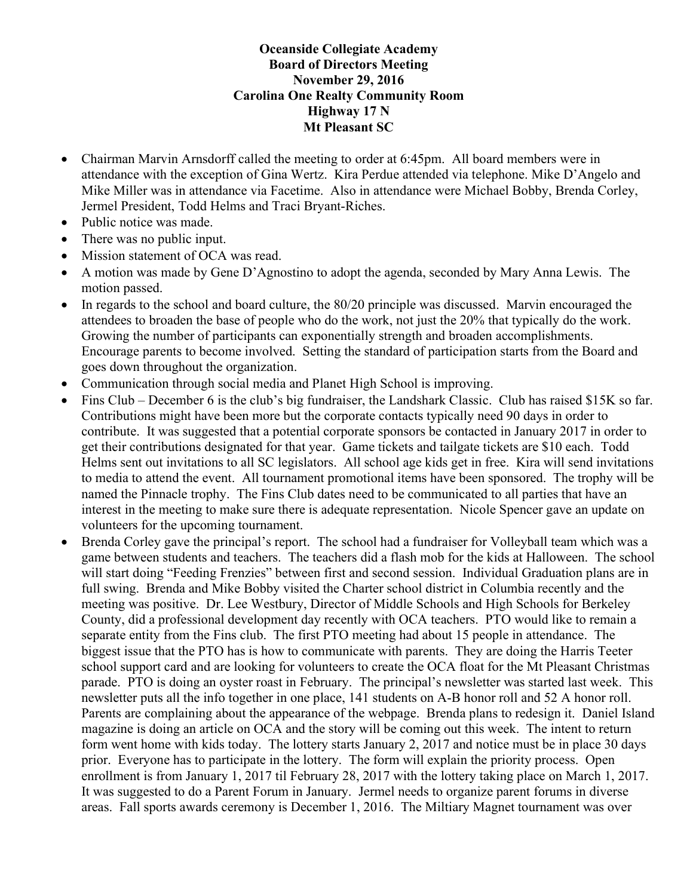## Oceanside Collegiate Academy Board of Directors Meeting November 29, 2016 Carolina One Realty Community Room Highway 17 N Mt Pleasant SC

- Chairman Marvin Arnsdorff called the meeting to order at 6:45pm. All board members were in attendance with the exception of Gina Wertz. Kira Perdue attended via telephone. Mike D'Angelo and Mike Miller was in attendance via Facetime. Also in attendance were Michael Bobby, Brenda Corley, Jermel President, Todd Helms and Traci Bryant-Riches.
- Public notice was made.
- There was no public input.
- Mission statement of OCA was read.
- A motion was made by Gene D'Agnostino to adopt the agenda, seconded by Mary Anna Lewis. The motion passed.
- In regards to the school and board culture, the 80/20 principle was discussed. Marvin encouraged the attendees to broaden the base of people who do the work, not just the 20% that typically do the work. Growing the number of participants can exponentially strength and broaden accomplishments. Encourage parents to become involved. Setting the standard of participation starts from the Board and goes down throughout the organization.
- Communication through social media and Planet High School is improving.
- Fins Club December 6 is the club's big fundraiser, the Landshark Classic. Club has raised \$15K so far. Contributions might have been more but the corporate contacts typically need 90 days in order to contribute. It was suggested that a potential corporate sponsors be contacted in January 2017 in order to get their contributions designated for that year. Game tickets and tailgate tickets are \$10 each. Todd Helms sent out invitations to all SC legislators. All school age kids get in free. Kira will send invitations to media to attend the event. All tournament promotional items have been sponsored. The trophy will be named the Pinnacle trophy. The Fins Club dates need to be communicated to all parties that have an interest in the meeting to make sure there is adequate representation. Nicole Spencer gave an update on volunteers for the upcoming tournament.
- Brenda Corley gave the principal's report. The school had a fundraiser for Volleyball team which was a game between students and teachers. The teachers did a flash mob for the kids at Halloween. The school will start doing "Feeding Frenzies" between first and second session. Individual Graduation plans are in full swing. Brenda and Mike Bobby visited the Charter school district in Columbia recently and the meeting was positive. Dr. Lee Westbury, Director of Middle Schools and High Schools for Berkeley County, did a professional development day recently with OCA teachers. PTO would like to remain a separate entity from the Fins club. The first PTO meeting had about 15 people in attendance. The biggest issue that the PTO has is how to communicate with parents. They are doing the Harris Teeter school support card and are looking for volunteers to create the OCA float for the Mt Pleasant Christmas parade. PTO is doing an oyster roast in February. The principal's newsletter was started last week. This newsletter puts all the info together in one place, 141 students on A-B honor roll and 52 A honor roll. Parents are complaining about the appearance of the webpage. Brenda plans to redesign it. Daniel Island magazine is doing an article on OCA and the story will be coming out this week. The intent to return form went home with kids today. The lottery starts January 2, 2017 and notice must be in place 30 days prior. Everyone has to participate in the lottery. The form will explain the priority process. Open enrollment is from January 1, 2017 til February 28, 2017 with the lottery taking place on March 1, 2017. It was suggested to do a Parent Forum in January. Jermel needs to organize parent forums in diverse areas. Fall sports awards ceremony is December 1, 2016. The Miltiary Magnet tournament was over